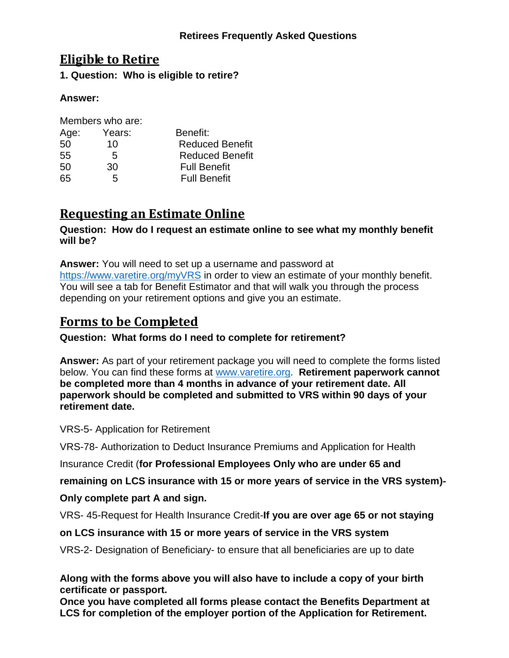## **Retirees Frequently Asked Questions**

## **Eligible to Retire**

**1. Question: Who is eligible to retire?**

## **Answer:**

|      | Members who are: |                        |  |
|------|------------------|------------------------|--|
| Age: | Years:           | Benefit:               |  |
| 50   | 10               | <b>Reduced Benefit</b> |  |
| 55   | 5                | <b>Reduced Benefit</b> |  |
| 50   | 30               | <b>Full Benefit</b>    |  |
| 65   | 5                | <b>Full Benefit</b>    |  |

# **Requesting an Estimate Online**

#### **Question: How do I request an estimate online to see what my monthly benefit will be?**

**Answer:** You will need to set up a username and password at <https://www.varetire.org/myVRS> in order to view an estimate of your monthly benefit. You will see a tab for Benefit Estimator and that will walk you through the process depending on your retirement options and give you an estimate.

## **Forms to be Completed**

## **Question: What forms do I need to complete for retirement?**

**Answer:** As part of your retirement package you will need to complete the forms listed below. You can find these forms at [www.varetire.org.](http://www.varetire.org/) **Retirement paperwork cannot be completed more than 4 months in advance of your retirement date. All paperwork should be completed and submitted to VRS within 90 days of your retirement date.**

VRS-5- Application for Retirement

VRS-78- Authorization to Deduct Insurance Premiums and Application for Health

Insurance Credit (**for Professional Employees Only who are under 65 and** 

**remaining on LCS insurance with 15 or more years of service in the VRS system)-**

**Only complete part A and sign.**

VRS- 45-Request for Health Insurance Credit-**If you are over age 65 or not staying** 

## **on LCS insurance with 15 or more years of service in the VRS system**

VRS-2- Designation of Beneficiary- to ensure that all beneficiaries are up to date

**Along with the forms above you will also have to include a copy of your birth certificate or passport.**

**Once you have completed all forms please contact the Benefits Department at LCS for completion of the employer portion of the Application for Retirement.**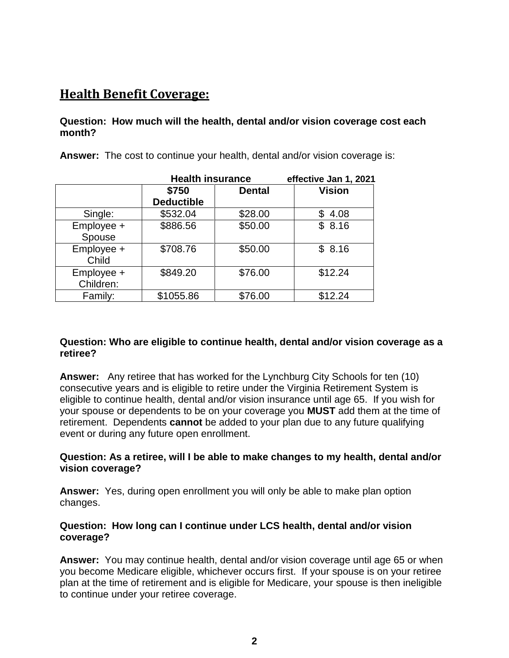# **Health Benefit Coverage:**

## **Question: How much will the health, dental and/or vision coverage cost each month?**

**Answer:** The cost to continue your health, dental and/or vision coverage is:

|                         | <b>Health insurance</b> |               | effective Jan 1, 2021 |
|-------------------------|-------------------------|---------------|-----------------------|
|                         | \$750                   | <b>Dental</b> | <b>Vision</b>         |
|                         | <b>Deductible</b>       |               |                       |
| Single:                 | \$532.04                | \$28.00       | \$4.08                |
| Employee +<br>Spouse    | \$886.56                | \$50.00       | \$8.16                |
| Employee +<br>Child     | \$708.76                | \$50.00       | \$8.16                |
| Employee +<br>Children: | \$849.20                | \$76.00       | \$12.24               |
| Family:                 | \$1055.86               | \$76.00       | \$12.24               |

#### **Question: Who are eligible to continue health, dental and/or vision coverage as a retiree?**

**Answer:** Any retiree that has worked for the Lynchburg City Schools for ten (10) consecutive years and is eligible to retire under the Virginia Retirement System is eligible to continue health, dental and/or vision insurance until age 65. If you wish for your spouse or dependents to be on your coverage you **MUST** add them at the time of retirement. Dependents **cannot** be added to your plan due to any future qualifying event or during any future open enrollment.

## **Question: As a retiree, will I be able to make changes to my health, dental and/or vision coverage?**

**Answer:** Yes, during open enrollment you will only be able to make plan option changes.

#### **Question: How long can I continue under LCS health, dental and/or vision coverage?**

**Answer:** You may continue health, dental and/or vision coverage until age 65 or when you become Medicare eligible, whichever occurs first. If your spouse is on your retiree plan at the time of retirement and is eligible for Medicare, your spouse is then ineligible to continue under your retiree coverage.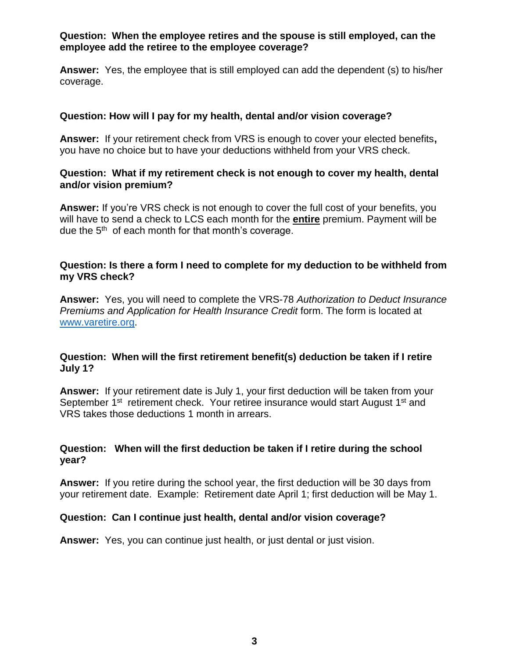#### **Question: When the employee retires and the spouse is still employed, can the employee add the retiree to the employee coverage?**

**Answer:** Yes, the employee that is still employed can add the dependent (s) to his/her coverage.

#### **Question: How will I pay for my health, dental and/or vision coverage?**

**Answer:** If your retirement check from VRS is enough to cover your elected benefits**,**  you have no choice but to have your deductions withheld from your VRS check.

#### **Question: What if my retirement check is not enough to cover my health, dental and/or vision premium?**

**Answer:** If you're VRS check is not enough to cover the full cost of your benefits, you will have to send a check to LCS each month for the **entire** premium. Payment will be due the 5<sup>th</sup> of each month for that month's coverage.

#### **Question: Is there a form I need to complete for my deduction to be withheld from my VRS check?**

**Answer:** Yes, you will need to complete the VRS-78 *Authorization to Deduct Insurance Premiums and Application for Health Insurance Credit* form. The form is located at [www.varetire.org.](http://www.varetire.org/)

## **Question: When will the first retirement benefit(s) deduction be taken if I retire July 1?**

**Answer:** If your retirement date is July 1, your first deduction will be taken from your September 1<sup>st</sup> retirement check. Your retiree insurance would start August 1<sup>st</sup> and VRS takes those deductions 1 month in arrears.

#### **Question: When will the first deduction be taken if I retire during the school year?**

**Answer:** If you retire during the school year, the first deduction will be 30 days from your retirement date. Example: Retirement date April 1; first deduction will be May 1.

#### **Question: Can I continue just health, dental and/or vision coverage?**

**Answer:** Yes, you can continue just health, or just dental or just vision.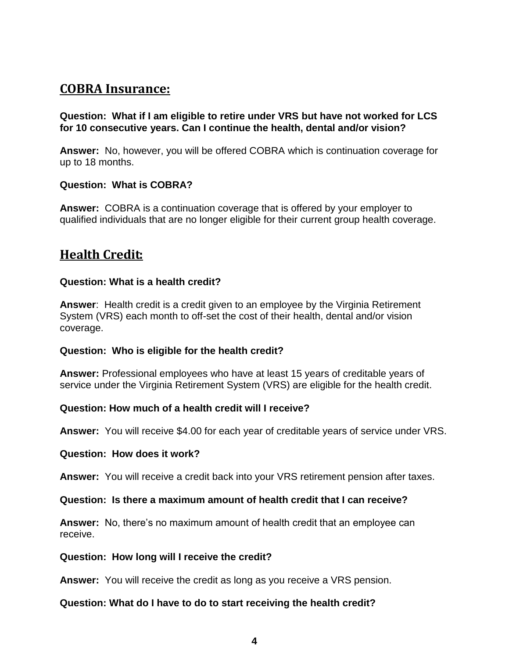## **COBRA Insurance:**

**Question: What if I am eligible to retire under VRS but have not worked for LCS for 10 consecutive years. Can I continue the health, dental and/or vision?**

**Answer:** No, however, you will be offered COBRA which is continuation coverage for up to 18 months.

## **Question: What is COBRA?**

**Answer:** COBRA is a continuation coverage that is offered by your employer to qualified individuals that are no longer eligible for their current group health coverage.

## **Health Credit:**

## **Question: What is a health credit?**

**Answer**: Health credit is a credit given to an employee by the Virginia Retirement System (VRS) each month to off-set the cost of their health, dental and/or vision coverage.

#### **Question: Who is eligible for the health credit?**

**Answer:** Professional employees who have at least 15 years of creditable years of service under the Virginia Retirement System (VRS) are eligible for the health credit.

#### **Question: How much of a health credit will I receive?**

**Answer:** You will receive \$4.00 for each year of creditable years of service under VRS.

#### **Question: How does it work?**

**Answer:** You will receive a credit back into your VRS retirement pension after taxes.

## **Question: Is there a maximum amount of health credit that I can receive?**

**Answer:** No, there's no maximum amount of health credit that an employee can receive.

#### **Question: How long will I receive the credit?**

**Answer:** You will receive the credit as long as you receive a VRS pension.

#### **Question: What do I have to do to start receiving the health credit?**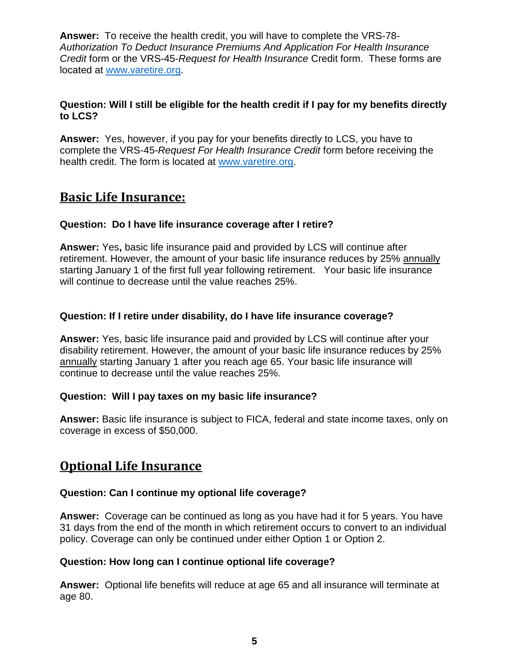**Answer:** To receive the health credit, you will have to complete the VRS-78- *Authorization To Deduct Insurance Premiums And Application For Health Insurance Credit* form or the VRS-45-*Request for Health Insurance* Credit form. These forms are located at [www.varetire.org.](http://www.varetire.org/)

## **Question: Will I still be eligible for the health credit if I pay for my benefits directly to LCS?**

**Answer:** Yes, however, if you pay for your benefits directly to LCS, you have to complete the VRS-45-*Request For Health Insurance Credit* form before receiving the health credit. The form is located at [www.varetire.org.](http://www.varetire.org/)

## **Basic Life Insurance:**

## **Question: Do I have life insurance coverage after I retire?**

**Answer:** Yes**,** basic life insurance paid and provided by LCS will continue after retirement. However, the amount of your basic life insurance reduces by 25% annually starting January 1 of the first full year following retirement. Your basic life insurance will continue to decrease until the value reaches 25%.

## **Question: If I retire under disability, do I have life insurance coverage?**

**Answer:** Yes, basic life insurance paid and provided by LCS will continue after your disability retirement. However, the amount of your basic life insurance reduces by 25% annually starting January 1 after you reach age 65. Your basic life insurance will continue to decrease until the value reaches 25%.

#### **Question: Will I pay taxes on my basic life insurance?**

**Answer:** Basic life insurance is subject to FICA, federal and state income taxes, only on coverage in excess of \$50,000.

## **Optional Life Insurance**

#### **Question: Can I continue my optional life coverage?**

**Answer:** Coverage can be continued as long as you have had it for 5 years. You have 31 days from the end of the month in which retirement occurs to convert to an individual policy. Coverage can only be continued under either Option 1 or Option 2.

#### **Question: How long can I continue optional life coverage?**

**Answer:** Optional life benefits will reduce at age 65 and all insurance will terminate at age 80.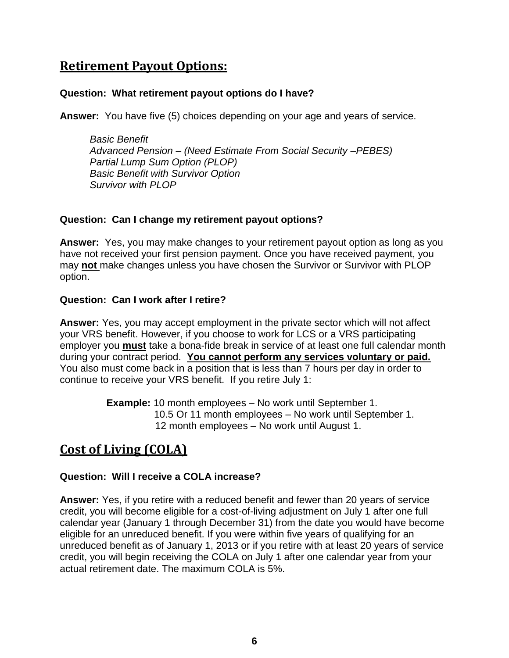## **Retirement Payout Options:**

#### **Question: What retirement payout options do I have?**

**Answer:** You have five (5) choices depending on your age and years of service.

*Basic Benefit Advanced Pension – (Need Estimate From Social Security –PEBES) Partial Lump Sum Option (PLOP) Basic Benefit with Survivor Option Survivor with PLOP*

## **Question: Can I change my retirement payout options?**

**Answer:** Yes, you may make changes to your retirement payout option as long as you have not received your first pension payment. Once you have received payment, you may **not** make changes unless you have chosen the Survivor or Survivor with PLOP option.

## **Question: Can I work after I retire?**

**Answer:** Yes, you may accept employment in the private sector which will not affect your VRS benefit. However, if you choose to work for LCS or a VRS participating employer you **must** take a bona-fide break in service of at least one full calendar month during your contract period. **You cannot perform any services voluntary or paid.** You also must come back in a position that is less than 7 hours per day in order to continue to receive your VRS benefit. If you retire July 1:

> **Example:** 10 month employees – No work until September 1. 10.5 Or 11 month employees – No work until September 1. 12 month employees – No work until August 1.

# **Cost of Living (COLA)**

## **Question: Will I receive a COLA increase?**

**Answer:** Yes, if you retire with a reduced benefit and fewer than 20 years of service credit, you will become eligible for a cost-of-living adjustment on July 1 after one full calendar year (January 1 through December 31) from the date you would have become eligible for an unreduced benefit. If you were within five years of qualifying for an unreduced benefit as of January 1, 2013 or if you retire with at least 20 years of service credit, you will begin receiving the COLA on July 1 after one calendar year from your actual retirement date. The maximum COLA is 5%.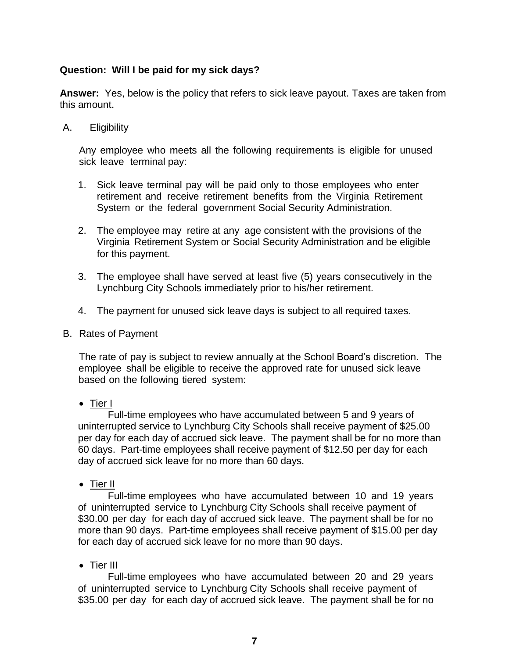## **Question: Will I be paid for my sick days?**

**Answer:** Yes, below is the policy that refers to sick leave payout. Taxes are taken from this amount.

A. Eligibility

Any employee who meets all the following requirements is eligible for unused sick leave terminal pay:

- 1. Sick leave terminal pay will be paid only to those employees who enter retirement and receive retirement benefits from the Virginia Retirement System or the federal government Social Security Administration.
- 2. The employee may retire at any age consistent with the provisions of the Virginia Retirement System or Social Security Administration and be eligible for this payment.
- 3. The employee shall have served at least five (5) years consecutively in the Lynchburg City Schools immediately prior to his/her retirement.
- 4. The payment for unused sick leave days is subject to all required taxes.
- B. Rates of Payment

The rate of pay is subject to review annually at the School Board's discretion. The employee shall be eligible to receive the approved rate for unused sick leave based on the following tiered system:

• Tier I

Full-time employees who have accumulated between 5 and 9 years of uninterrupted service to Lynchburg City Schools shall receive payment of \$25.00 per day for each day of accrued sick leave. The payment shall be for no more than 60 days. Part-time employees shall receive payment of \$12.50 per day for each day of accrued sick leave for no more than 60 days.

• Tier II

Full-time employees who have accumulated between 10 and 19 years of uninterrupted service to Lynchburg City Schools shall receive payment of \$30.00 per day for each day of accrued sick leave. The payment shall be for no more than 90 days. Part-time employees shall receive payment of \$15.00 per day for each day of accrued sick leave for no more than 90 days.

• Tier III

Full-time employees who have accumulated between 20 and 29 years of uninterrupted service to Lynchburg City Schools shall receive payment of \$35.00 per day for each day of accrued sick leave. The payment shall be for no